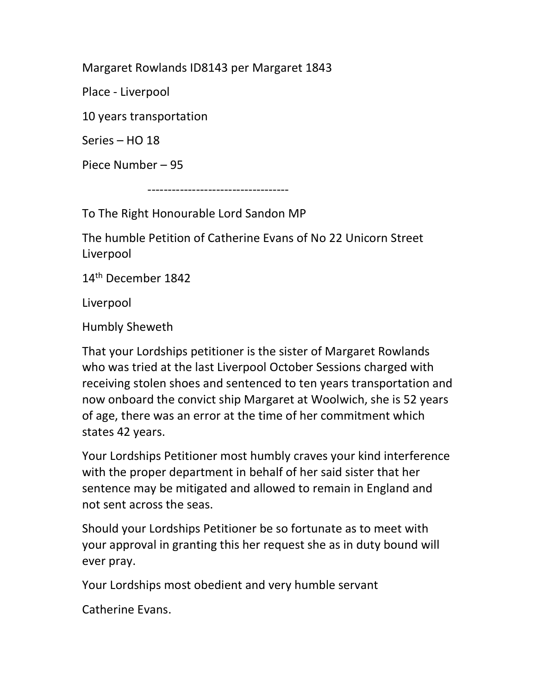Margaret Rowlands ID8143 per Margaret 1843

Place - Liverpool

10 years transportation

Series – HO 18

Piece Number – 95

-----------------------------------

To The Right Honourable Lord Sandon MP

The humble Petition of Catherine Evans of No 22 Unicorn Street Liverpool

14th December 1842

Liverpool

Humbly Sheweth

That your Lordships petitioner is the sister of Margaret Rowlands who was tried at the last Liverpool October Sessions charged with receiving stolen shoes and sentenced to ten years transportation and now onboard the convict ship Margaret at Woolwich, she is 52 years of age, there was an error at the time of her commitment which states 42 years.

Your Lordships Petitioner most humbly craves your kind interference with the proper department in behalf of her said sister that her sentence may be mitigated and allowed to remain in England and not sent across the seas.

Should your Lordships Petitioner be so fortunate as to meet with your approval in granting this her request she as in duty bound will ever pray.

Your Lordships most obedient and very humble servant

Catherine Evans.